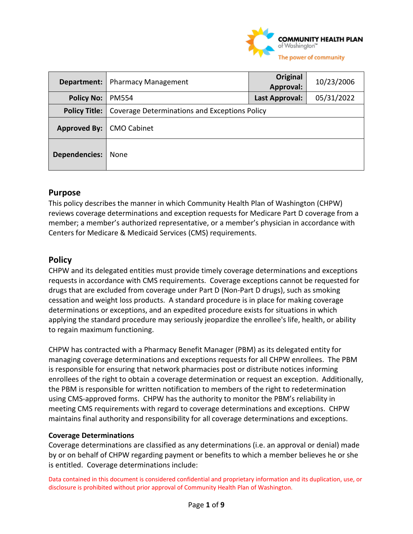

| Department:          | <b>Pharmacy Management</b>                    | Original<br><b>Approval:</b> | 10/23/2006 |
|----------------------|-----------------------------------------------|------------------------------|------------|
| <b>Policy No:</b>    | PM554                                         | Last Approval:               | 05/31/2022 |
| <b>Policy Title:</b> | Coverage Determinations and Exceptions Policy |                              |            |
| <b>Approved By:</b>  | <b>CMO Cabinet</b>                            |                              |            |
| <b>Dependencies:</b> | None                                          |                              |            |

# **Purpose**

This policy describes the manner in which Community Health Plan of Washington (CHPW) reviews coverage determinations and exception requests for Medicare Part D coverage from a member; a member's authorized representative, or a member's physician in accordance with Centers for Medicare & Medicaid Services (CMS) requirements.

# **Policy**

CHPW and its delegated entities must provide timely coverage determinations and exceptions requests in accordance with CMS requirements. Coverage exceptions cannot be requested for drugs that are excluded from coverage under Part D (Non-Part D drugs), such as smoking cessation and weight loss products. A standard procedure is in place for making coverage determinations or exceptions, and an expedited procedure exists for situations in which applying the standard procedure may seriously jeopardize the enrollee's life, health, or ability to regain maximum functioning.

CHPW has contracted with a Pharmacy Benefit Manager (PBM) as its delegated entity for managing coverage determinations and exceptions requests for all CHPW enrollees. The PBM is responsible for ensuring that network pharmacies post or distribute notices informing enrollees of the right to obtain a coverage determination or request an exception. Additionally, the PBM is responsible for written notification to members of the right to redetermination using CMS-approved forms. CHPW has the authority to monitor the PBM's reliability in meeting CMS requirements with regard to coverage determinations and exceptions. CHPW maintains final authority and responsibility for all coverage determinations and exceptions.

#### **Coverage Determinations**

Coverage determinations are classified as any determinations (i.e. an approval or denial) made by or on behalf of CHPW regarding payment or benefits to which a member believes he or she is entitled. Coverage determinations include: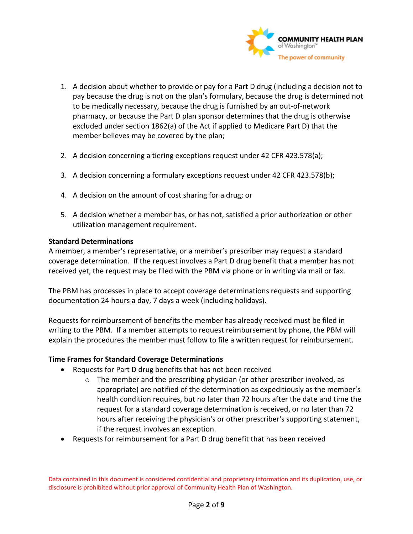

- 1. A decision about whether to provide or pay for a Part D drug (including a decision not to pay because the drug is not on the plan's formulary, because the drug is determined not to be medically necessary, because the drug is furnished by an out-of-network pharmacy, or because the Part D plan sponsor determines that the drug is otherwise excluded under section [1862\(a\)](http://www.socialsecurity.gov/OP_Home/ssact/comp-ssa.htm) of the Act if applied to Medicare Part D) that the member believes may be covered by the plan;
- 2. A decision concerning a tiering exceptions request under [42 CFR 423.578\(a\);](http://www.access.gpo.gov/nara/cfr/cfr-table-search.html#page1)
- 3. A decision concerning a formulary exceptions request under [42 CFR 423.578\(b\);](http://www.access.gpo.gov/nara/cfr/cfr-table-search.html#page1)
- 4. A decision on the amount of cost sharing for a drug; or
- 5. A decision whether a member has, or has not, satisfied a prior authorization or other utilization management requirement.

#### **Standard Determinations**

A member, a member's representative, or a member's prescriber may request a standard coverage determination. If the request involves a Part D drug benefit that a member has not received yet, the request may be filed with the PBM via phone or in writing via mail or fax.

The PBM has processes in place to accept coverage determinations requests and supporting documentation 24 hours a day, 7 days a week (including holidays).

Requests for reimbursement of benefits the member has already received must be filed in writing to the PBM. If a member attempts to request reimbursement by phone, the PBM will explain the procedures the member must follow to file a written request for reimbursement.

#### **Time Frames for Standard Coverage Determinations**

- Requests for Part D drug benefits that has not been received
	- $\circ$  The member and the prescribing physician (or other prescriber involved, as appropriate) are notified of the determination as expeditiously as the member's health condition requires, but no later than 72 hours after the date and time the request for a standard coverage determination is received, or no later than 72 hours after receiving the physician's or other prescriber's supporting statement, if the request involves an exception.
- Requests for reimbursement for a Part D drug benefit that has been received

Data contained in this document is considered confidential and proprietary information and its duplication, use, or disclosure is prohibited without prior approval of Community Health Plan of Washington.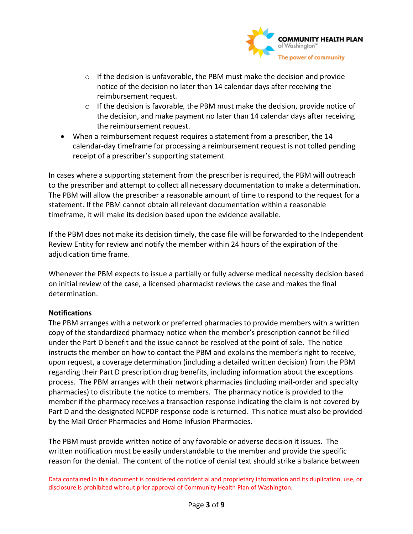

- $\circ$  If the decision is unfavorable, the PBM must make the decision and provide notice of the decision no later than 14 calendar days after receiving the reimbursement request*.*
- o If the decision is favorable*,* the PBM must make the decision, provide notice of the decision, and make payment no later than 14 calendar days after receiving the reimbursement request.
- When a reimbursement request requires a statement from a prescriber, the 14 calendar-day timeframe for processing a reimbursement request is not tolled pending receipt of a prescriber's supporting statement.

In cases where a supporting statement from the prescriber is required, the PBM will outreach to the prescriber and attempt to collect all necessary documentation to make a determination. The PBM will allow the prescriber a reasonable amount of time to respond to the request for a statement. If the PBM cannot obtain all relevant documentation within a reasonable timeframe, it will make its decision based upon the evidence available.

If the PBM does not make its decision timely, the case file will be forwarded to the Independent Review Entity for review and notify the member within 24 hours of the expiration of the adjudication time frame.

Whenever the PBM expects to issue a partially or fully adverse medical necessity decision based on initial review of the case, a licensed pharmacist reviews the case and makes the final determination.

## **Notifications**

The PBM arranges with a network or preferred pharmacies to provide members with a written copy of the standardized pharmacy notice when the member's prescription cannot be filled under the Part D benefit and the issue cannot be resolved at the point of sale. The notice instructs the member on how to contact the PBM and explains the member's right to receive, upon request, a coverage determination (including a detailed written decision) from the PBM regarding their Part D prescription drug benefits, including information about the exceptions process. The PBM arranges with their network pharmacies (including mail-order and specialty pharmacies) to distribute the notice to members. The pharmacy notice is provided to the member if the pharmacy receives a transaction response indicating the claim is not covered by Part D and the designated NCPDP response code is returned. This notice must also be provided by the Mail Order Pharmacies and Home Infusion Pharmacies.

The PBM must provide written notice of any favorable or adverse decision it issues. The written notification must be easily understandable to the member and provide the specific reason for the denial. The content of the notice of denial text should strike a balance between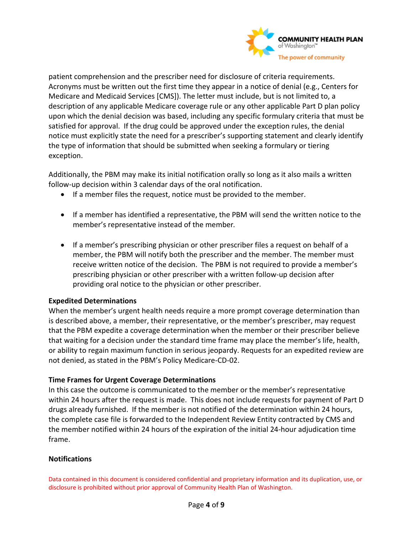

patient comprehension and the prescriber need for disclosure of criteria requirements. Acronyms must be written out the first time they appear in a notice of denial (e.g., Centers for Medicare and Medicaid Services [CMS]). The letter must include, but is not limited to, a description of any applicable Medicare coverage rule or any other applicable Part D plan policy upon which the denial decision was based, including any specific formulary criteria that must be satisfied for approval. If the drug could be approved under the exception rules, the denial notice must explicitly state the need for a prescriber's supporting statement and clearly identify the type of information that should be submitted when seeking a formulary or tiering exception.

Additionally, the PBM may make its initial notification orally so long as it also mails a written follow-up decision within 3 calendar days of the oral notification.

- If a member files the request, notice must be provided to the member.
- If a member has identified a representative, the PBM will send the written notice to the member's representative instead of the member*.*
- If a member's prescribing physician or other prescriber files a request on behalf of a member, the PBM will notify both the prescriber and the member. The member must receive written notice of the decision. The PBM is not required to provide a member's prescribing physician or other prescriber with a written follow-up decision after providing oral notice to the physician or other prescriber.

#### **Expedited Determinations**

When the member's urgent health needs require a more prompt coverage determination than is described above, a member, their representative, or the member's prescriber, may request that the PBM expedite a coverage determination when the member or their prescriber believe that waiting for a decision under the standard time frame may place the member's life, health, or ability to regain maximum function in serious jeopardy. Requests for an expedited review are not denied, as stated in the PBM's Policy Medicare-CD-02.

## **Time Frames for Urgent Coverage Determinations**

In this case the outcome is communicated to the member or the member's representative within 24 hours after the request is made. This does not include requests for payment of Part D drugs already furnished. If the member is not notified of the determination within 24 hours, the complete case file is forwarded to the Independent Review Entity contracted by CMS and the member notified within 24 hours of the expiration of the initial 24-hour adjudication time frame.

#### **Notifications**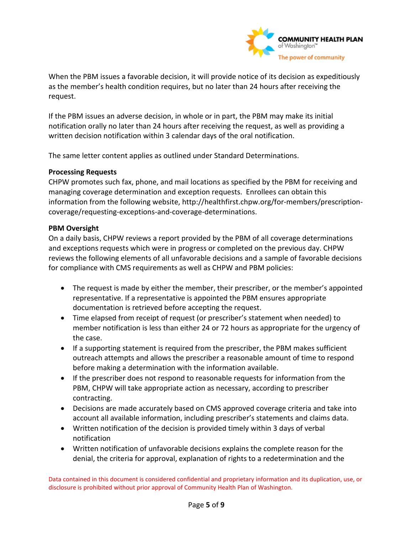

When the PBM issues a favorable decision, it will provide notice of its decision as expeditiously as the member's health condition requires, but no later than 24 hours after receiving the request.

If the PBM issues an adverse decision, in whole or in part, the PBM may make its initial notification orally no later than 24 hours after receiving the request, as well as providing a written decision notification within 3 calendar days of the oral notification.

The same letter content applies as outlined under Standard Determinations.

#### **Processing Requests**

CHPW promotes such fax, phone, and mail locations as specified by the PBM for receiving and managing coverage determination and exception requests. Enrollees can obtain this information from the following website, http://healthfirst.chpw.org/for-members/prescriptioncoverage/requesting-exceptions-and-coverage-determinations.

#### **PBM Oversight**

On a daily basis, CHPW reviews a report provided by the PBM of all coverage determinations and exceptions requests which were in progress or completed on the previous day. CHPW reviews the following elements of all unfavorable decisions and a sample of favorable decisions for compliance with CMS requirements as well as CHPW and PBM policies:

- The request is made by either the member, their prescriber, or the member's appointed representative. If a representative is appointed the PBM ensures appropriate documentation is retrieved before accepting the request.
- Time elapsed from receipt of request (or prescriber's statement when needed) to member notification is less than either 24 or 72 hours as appropriate for the urgency of the case.
- If a supporting statement is required from the prescriber, the PBM makes sufficient outreach attempts and allows the prescriber a reasonable amount of time to respond before making a determination with the information available.
- If the prescriber does not respond to reasonable requests for information from the PBM, CHPW will take appropriate action as necessary, according to prescriber contracting.
- Decisions are made accurately based on CMS approved coverage criteria and take into account all available information, including prescriber's statements and claims data.
- Written notification of the decision is provided timely within 3 days of verbal notification
- Written notification of unfavorable decisions explains the complete reason for the denial, the criteria for approval, explanation of rights to a redetermination and the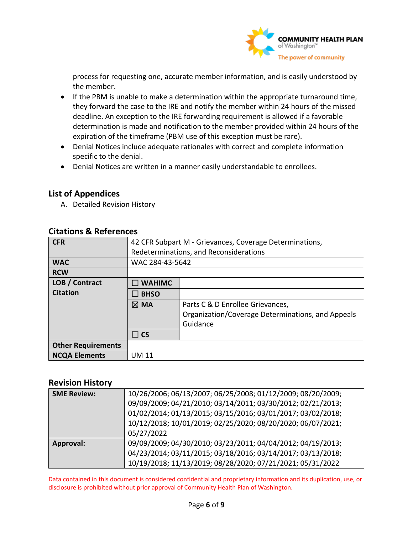

process for requesting one, accurate member information, and is easily understood by the member.

- If the PBM is unable to make a determination within the appropriate turnaround time, they forward the case to the IRE and notify the member within 24 hours of the missed deadline. An exception to the IRE forwarding requirement is allowed if a favorable determination is made and notification to the member provided within 24 hours of the expiration of the timeframe (PBM use of this exception must be rare).
- Denial Notices include adequate rationales with correct and complete information specific to the denial.
- Denial Notices are written in a manner easily understandable to enrollees.

# **List of Appendices**

A. Detailed Revision History

| <b>CFR</b>                | 42 CFR Subpart M - Grievances, Coverage Determinations, |                                                   |  |
|---------------------------|---------------------------------------------------------|---------------------------------------------------|--|
|                           | Redeterminations, and Reconsiderations                  |                                                   |  |
| <b>WAC</b>                | WAC 284-43-5642                                         |                                                   |  |
| <b>RCW</b>                |                                                         |                                                   |  |
| LOB / Contract            | $\square$ WAHIMC                                        |                                                   |  |
| <b>Citation</b>           | $\square$ BHSO                                          |                                                   |  |
|                           | $\boxtimes$ MA                                          | Parts C & D Enrollee Grievances,                  |  |
|                           |                                                         | Organization/Coverage Determinations, and Appeals |  |
|                           |                                                         | Guidance                                          |  |
|                           | $\Box$ CS                                               |                                                   |  |
| <b>Other Requirements</b> |                                                         |                                                   |  |
| <b>NCQA Elements</b>      | <b>UM11</b>                                             |                                                   |  |

# **Citations & References**

#### **Revision History**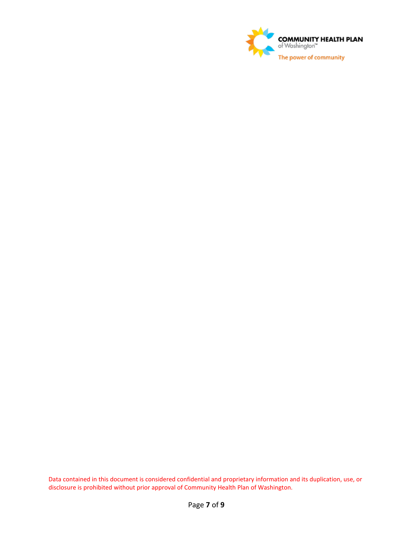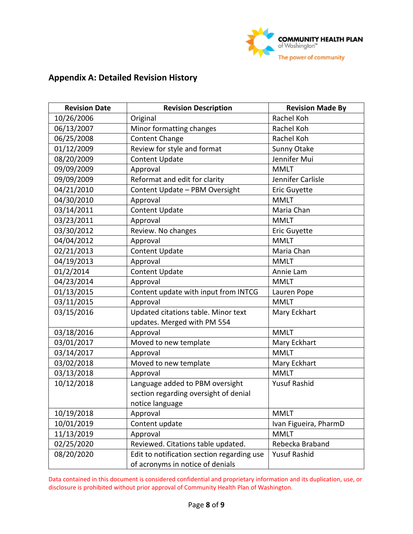

# **Appendix A: Detailed Revision History**

| <b>Revision Date</b> | <b>Revision Description</b>                |                       |
|----------------------|--------------------------------------------|-----------------------|
| 10/26/2006           | Original                                   | Rachel Koh            |
| 06/13/2007           | Minor formatting changes                   | Rachel Koh            |
| 06/25/2008           | Content Change                             | Rachel Koh            |
| 01/12/2009           | Review for style and format                | Sunny Otake           |
| 08/20/2009           | <b>Content Update</b>                      | Jennifer Mui          |
| 09/09/2009           | Approval                                   | <b>MMLT</b>           |
| 09/09/2009           | Reformat and edit for clarity              | Jennifer Carlisle     |
| 04/21/2010           | Content Update - PBM Oversight             | <b>Eric Guyette</b>   |
| 04/30/2010           | Approval                                   | <b>MMLT</b>           |
| 03/14/2011           | <b>Content Update</b>                      | Maria Chan            |
| 03/23/2011           | Approval                                   | <b>MMLT</b>           |
| 03/30/2012           | Review. No changes                         | <b>Eric Guyette</b>   |
| 04/04/2012           | Approval                                   | <b>MMLT</b>           |
| 02/21/2013           | <b>Content Update</b>                      | Maria Chan            |
| 04/19/2013           | Approval                                   | <b>MMLT</b>           |
| 01/2/2014            | <b>Content Update</b>                      | Annie Lam             |
| 04/23/2014           | Approval                                   | <b>MMLT</b>           |
| 01/13/2015           | Content update with input from INTCG       | Lauren Pope           |
| 03/11/2015           | Approval                                   | <b>MMLT</b>           |
| 03/15/2016           | Updated citations table. Minor text        | Mary Eckhart          |
|                      | updates. Merged with PM 554                |                       |
| 03/18/2016           | Approval                                   | <b>MMLT</b>           |
| 03/01/2017           | Moved to new template                      | Mary Eckhart          |
| 03/14/2017           | Approval                                   | <b>MMLT</b>           |
| 03/02/2018           | Moved to new template                      | Mary Eckhart          |
| 03/13/2018           | Approval                                   | <b>MMLT</b>           |
| 10/12/2018           | Language added to PBM oversight            | <b>Yusuf Rashid</b>   |
|                      | section regarding oversight of denial      |                       |
|                      | notice language                            |                       |
| 10/19/2018           | Approval                                   | <b>MMLT</b>           |
| 10/01/2019           | Content update                             | Ivan Figueira, PharmD |
| 11/13/2019           | Approval                                   | <b>MMLT</b>           |
| 02/25/2020           | Reviewed. Citations table updated.         | Rebecka Braband       |
| 08/20/2020           | Edit to notification section regarding use | <b>Yusuf Rashid</b>   |
|                      | of acronyms in notice of denials           |                       |